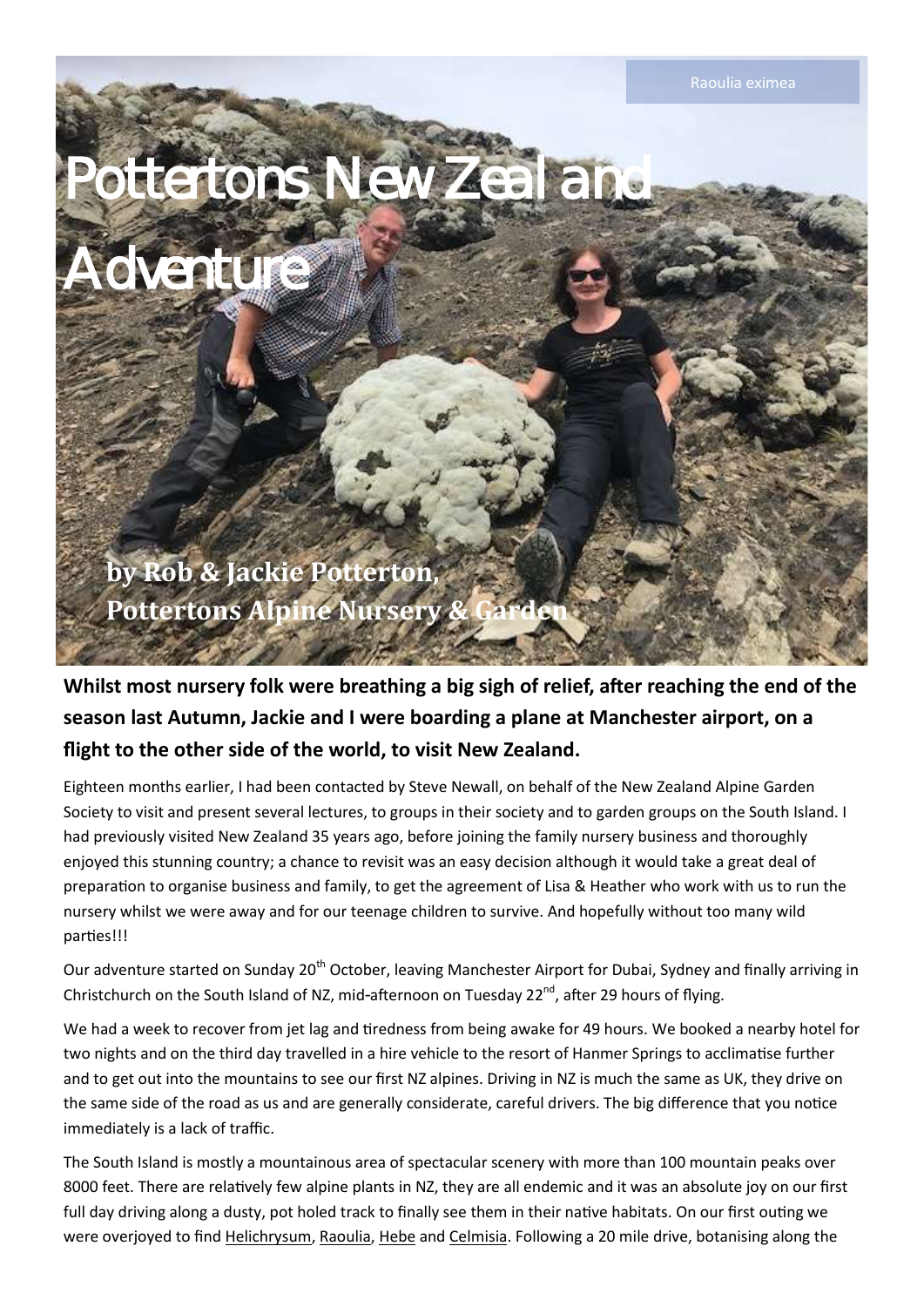Raoulia eximea

*Pottertons New Zealand* 

*Adventure* 

**by Rob & Jackie Potterton, Pottertons Alpine Nursery & G** 

**Whilst most nursery folk were breathing a big sigh of relief, after reaching the end of the season last Autumn, Jackie and I were boarding a plane at Manchester airport, on a flight to the other side of the world, to visit New Zealand.** 

Eighteen months earlier, I had been contacted by Steve Newall, on behalf of the New Zealand Alpine Garden Society to visit and present several lectures, to groups in their society and to garden groups on the South Island. I had previously visited New Zealand 35 years ago, before joining the family nursery business and thoroughly enjoyed this stunning country; a chance to revisit was an easy decision although it would take a great deal of preparation to organise business and family, to get the agreement of Lisa & Heather who work with us to run the nursery whilst we were away and for our teenage children to survive. And hopefully without too many wild parties!!!

Our adventure started on Sunday 20<sup>th</sup> October, leaving Manchester Airport for Dubai, Sydney and finally arriving in Christchurch on the South Island of NZ, mid-afternoon on Tuesday 22<sup>nd</sup>, after 29 hours of flying.

We had a week to recover from jet lag and tiredness from being awake for 49 hours. We booked a nearby hotel for two nights and on the third day travelled in a hire vehicle to the resort of Hanmer Springs to acclimatise further and to get out into the mountains to see our first NZ alpines. Driving in NZ is much the same as UK, they drive on the same side of the road as us and are generally considerate, careful drivers. The big difference that you notice immediately is a lack of traffic.

The South Island is mostly a mountainous area of spectacular scenery with more than 100 mountain peaks over 8000 feet. There are relatively few alpine plants in NZ, they are all endemic and it was an absolute joy on our first full day driving along a dusty, pot holed track to finally see them in their native habitats. On our first outing we were overjoyed to find Helichrysum, Raoulia, Hebe and Celmisia. Following a 20 mile drive, botanising along the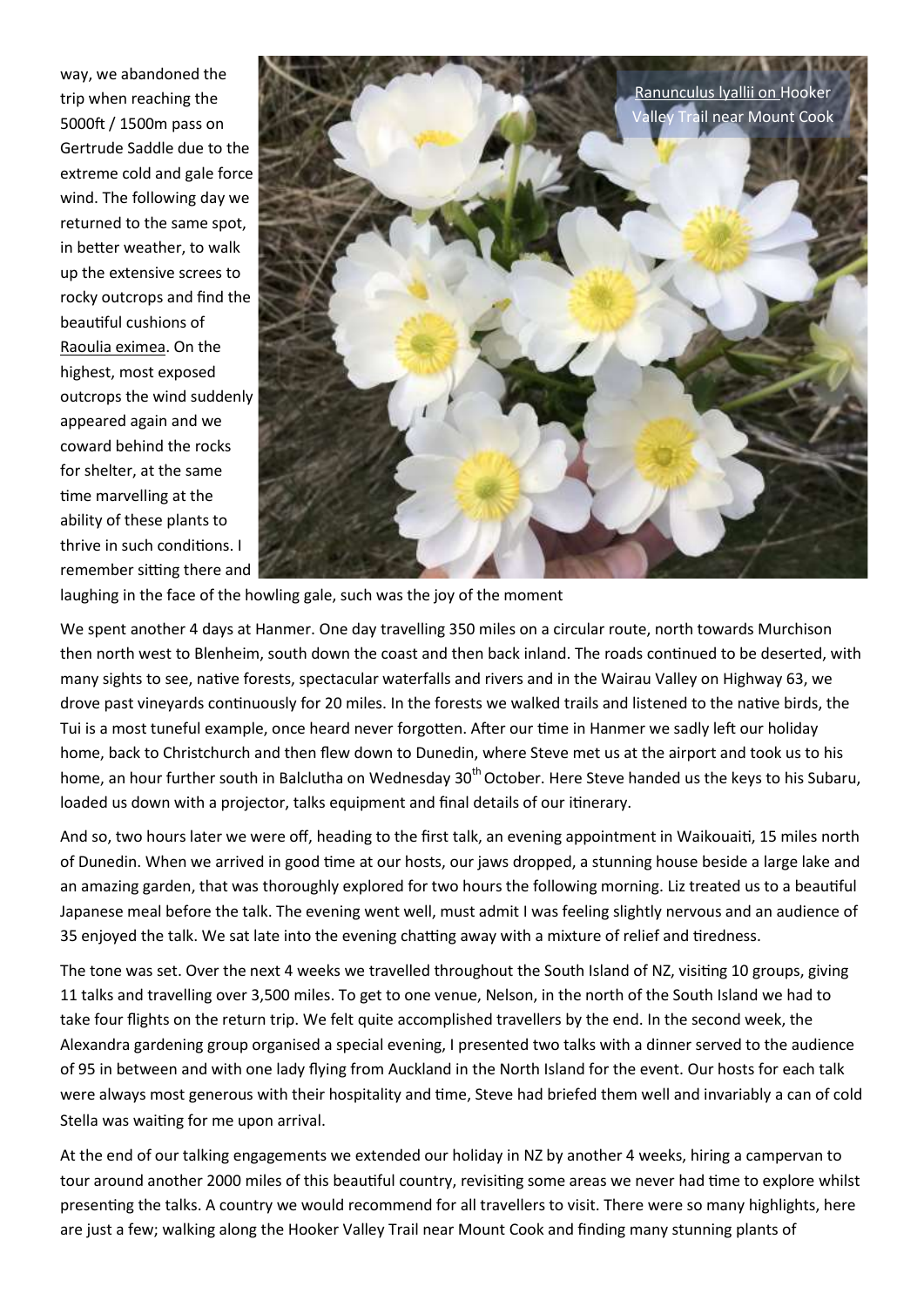way, we abandoned the trip when reaching the 5000ft / 1500m pass on Gertrude Saddle due to the extreme cold and gale force wind. The following day we returned to the same spot, in better weather, to walk up the extensive screes to rocky outcrops and find the beautiful cushions of Raoulia eximea. On the highest, most exposed outcrops the wind suddenly appeared again and we coward behind the rocks for shelter, at the same time marvelling at the ability of these plants to thrive in such conditions. I remember sitting there and



laughing in the face of the howling gale, such was the joy of the moment

We spent another 4 days at Hanmer. One day travelling 350 miles on a circular route, north towards Murchison then north west to Blenheim, south down the coast and then back inland. The roads continued to be deserted, with many sights to see, native forests, spectacular waterfalls and rivers and in the Wairau Valley on Highway 63, we drove past vineyards continuously for 20 miles. In the forests we walked trails and listened to the native birds, the Tui is a most tuneful example, once heard never forgotten. After our time in Hanmer we sadly left our holiday home, back to Christchurch and then flew down to Dunedin, where Steve met us at the airport and took us to his home, an hour further south in Balclutha on Wednesday 30<sup>th</sup> October. Here Steve handed us the keys to his Subaru, loaded us down with a projector, talks equipment and final details of our itinerary.

And so, two hours later we were off, heading to the first talk, an evening appointment in Waikouaiti, 15 miles north of Dunedin. When we arrived in good time at our hosts, our jaws dropped, a stunning house beside a large lake and an amazing garden, that was thoroughly explored for two hours the following morning. Liz treated us to a beautiful Japanese meal before the talk. The evening went well, must admit I was feeling slightly nervous and an audience of 35 enjoyed the talk. We sat late into the evening chatting away with a mixture of relief and tiredness.

The tone was set. Over the next 4 weeks we travelled throughout the South Island of NZ, visiting 10 groups, giving 11 talks and travelling over 3,500 miles. To get to one venue, Nelson, in the north of the South Island we had to take four flights on the return trip. We felt quite accomplished travellers by the end. In the second week, the Alexandra gardening group organised a special evening, I presented two talks with a dinner served to the audience of 95 in between and with one lady flying from Auckland in the North Island for the event. Our hosts for each talk were always most generous with their hospitality and time, Steve had briefed them well and invariably a can of cold Stella was waiting for me upon arrival.

At the end of our talking engagements we extended our holiday in NZ by another 4 weeks, hiring a campervan to tour around another 2000 miles of this beautiful country, revisiting some areas we never had time to explore whilst presenting the talks. A country we would recommend for all travellers to visit. There were so many highlights, here are just a few; walking along the Hooker Valley Trail near Mount Cook and finding many stunning plants of